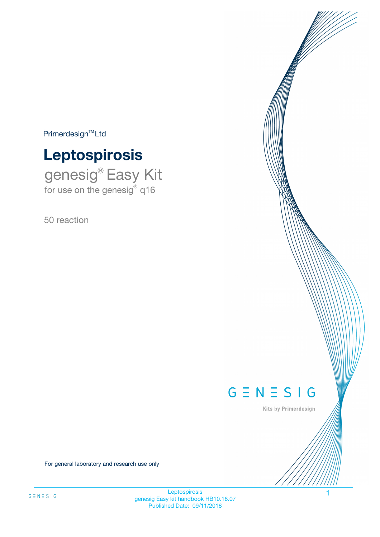$Primerdesign^{\text{TM}}Ltd$ 

# **Leptospirosis**

genesig® Easy Kit for use on the genesig® q16

50 reaction



Kits by Primerdesign

For general laboratory and research use only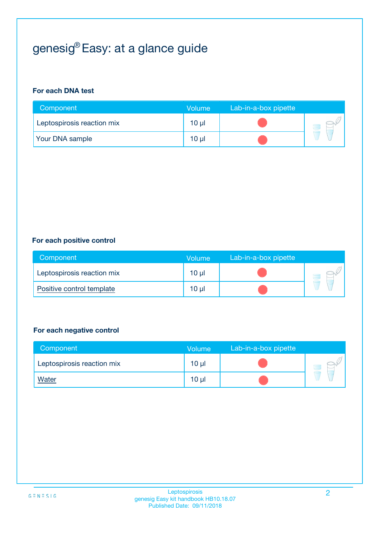# genesig® Easy: at a glance guide

#### **For each DNA test**

| Component                  | <b>Volume</b> | Lab-in-a-box pipette |  |
|----------------------------|---------------|----------------------|--|
| Leptospirosis reaction mix | 10 µl         |                      |  |
| <b>Your DNA sample</b>     | 10 µl         |                      |  |

#### **For each positive control**

| Component                  | Volume   | Lab-in-a-box pipette |  |
|----------------------------|----------|----------------------|--|
| Leptospirosis reaction mix | $10 \mu$ |                      |  |
| Positive control template  | $10 \mu$ |                      |  |

#### **For each negative control**

| Component                  | <b>Volume</b>   | Lab-in-a-box pipette |  |
|----------------------------|-----------------|----------------------|--|
| Leptospirosis reaction mix | 10 <sub>µ</sub> |                      |  |
| <u>Water</u>               | 10 <sub>µ</sub> |                      |  |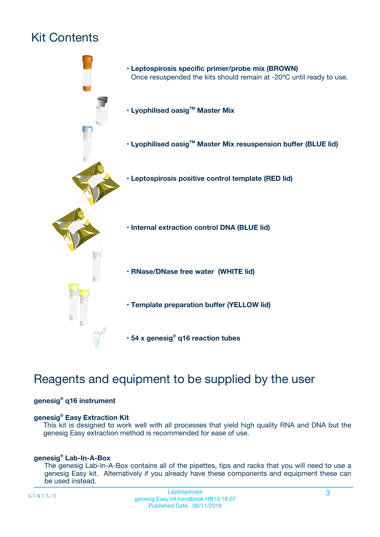# Kit Contents



# Reagents and equipment to be supplied by the user

#### **genesig® q16 instrument**

#### **genesig® Easy Extraction Kit**

This kit is designed to work well with all processes that yield high quality RNA and DNA but the genesig Easy extraction method is recommended for ease of use.

#### **genesig® Lab-In-A-Box**

The genesig Lab-In-A-Box contains all of the pipettes, tips and racks that you will need to use a genesig Easy kit. Alternatively if you already have these components and equipment these can be used instead.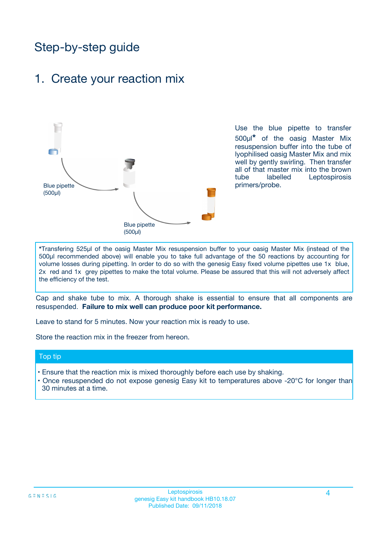# Step-by-step guide

### 1. Create your reaction mix



Use the blue pipette to transfer 500µl**\*** of the oasig Master Mix resuspension buffer into the tube of lyophilised oasig Master Mix and mix well by gently swirling. Then transfer all of that master mix into the brown tube labelled Leptospirosis primers/probe.

**\***Transfering 525µl of the oasig Master Mix resuspension buffer to your oasig Master Mix (instead of the 500µl recommended above) will enable you to take full advantage of the 50 reactions by accounting for volume losses during pipetting. In order to do so with the genesig Easy fixed volume pipettes use 1x blue, 2x red and 1x grey pipettes to make the total volume. Please be assured that this will not adversely affect the efficiency of the test.

Cap and shake tube to mix. A thorough shake is essential to ensure that all components are resuspended. **Failure to mix well can produce poor kit performance.**

Leave to stand for 5 minutes. Now your reaction mix is ready to use.

Store the reaction mix in the freezer from hereon.

#### Top tip

- Ensure that the reaction mix is mixed thoroughly before each use by shaking.
- Once resuspended do not expose genesig Easy kit to temperatures above -20°C for longer than 30 minutes at a time.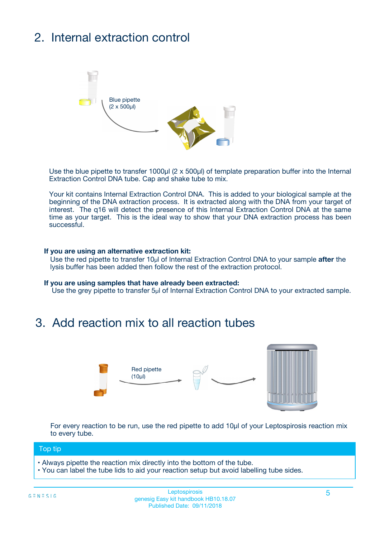# 2. Internal extraction control



Use the blue pipette to transfer 1000µl (2 x 500µl) of template preparation buffer into the Internal Extraction Control DNA tube. Cap and shake tube to mix.

Your kit contains Internal Extraction Control DNA. This is added to your biological sample at the beginning of the DNA extraction process. It is extracted along with the DNA from your target of interest. The q16 will detect the presence of this Internal Extraction Control DNA at the same time as your target. This is the ideal way to show that your DNA extraction process has been successful.

#### **If you are using an alternative extraction kit:**

Use the red pipette to transfer 10µl of Internal Extraction Control DNA to your sample **after** the lysis buffer has been added then follow the rest of the extraction protocol.

#### **If you are using samples that have already been extracted:**

Use the grey pipette to transfer 5µl of Internal Extraction Control DNA to your extracted sample.

### 3. Add reaction mix to all reaction tubes



For every reaction to be run, use the red pipette to add 10µl of your Leptospirosis reaction mix to every tube.

#### Top tip

- Always pipette the reaction mix directly into the bottom of the tube.
- You can label the tube lids to aid your reaction setup but avoid labelling tube sides.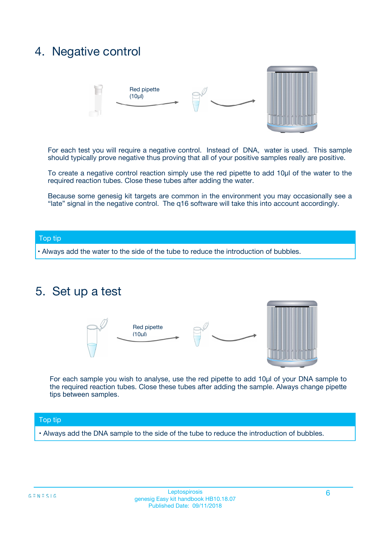### 4. Negative control



For each test you will require a negative control. Instead of DNA, water is used. This sample should typically prove negative thus proving that all of your positive samples really are positive.

To create a negative control reaction simply use the red pipette to add 10µl of the water to the required reaction tubes. Close these tubes after adding the water.

Because some genesig kit targets are common in the environment you may occasionally see a "late" signal in the negative control. The q16 software will take this into account accordingly.

#### Top tip

**•** Always add the water to the side of the tube to reduce the introduction of bubbles.

### 5. Set up a test



For each sample you wish to analyse, use the red pipette to add 10µl of your DNA sample to the required reaction tubes. Close these tubes after adding the sample. Always change pipette tips between samples.

#### Top tip

**•** Always add the DNA sample to the side of the tube to reduce the introduction of bubbles.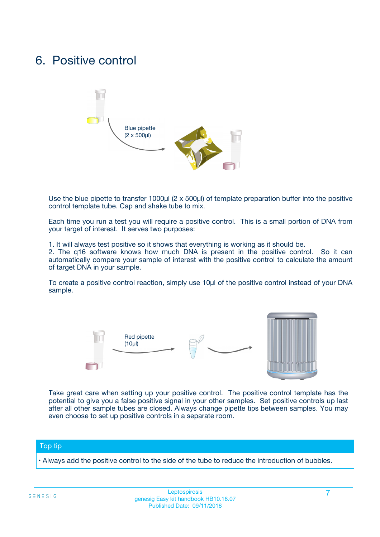### 6. Positive control



Use the blue pipette to transfer 1000µl (2 x 500µl) of template preparation buffer into the positive control template tube. Cap and shake tube to mix.

Each time you run a test you will require a positive control. This is a small portion of DNA from your target of interest. It serves two purposes:

1. It will always test positive so it shows that everything is working as it should be.

2. The q16 software knows how much DNA is present in the positive control. So it can automatically compare your sample of interest with the positive control to calculate the amount of target DNA in your sample.

To create a positive control reaction, simply use 10µl of the positive control instead of your DNA sample.



Take great care when setting up your positive control. The positive control template has the potential to give you a false positive signal in your other samples. Set positive controls up last after all other sample tubes are closed. Always change pipette tips between samples. You may even choose to set up positive controls in a separate room.

#### Top tip

**•** Always add the positive control to the side of the tube to reduce the introduction of bubbles.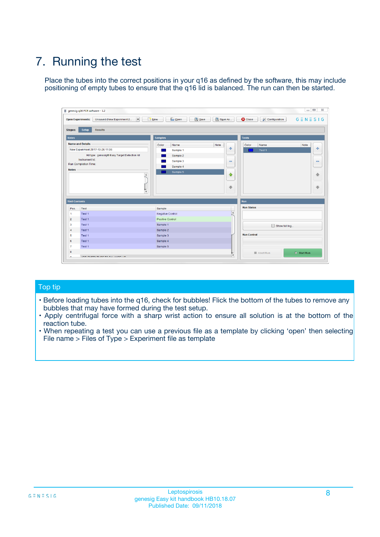# 7. Running the test

Place the tubes into the correct positions in your q16 as defined by the software, this may include positioning of empty tubes to ensure that the q16 lid is balanced. The run can then be started.

| qenesig q16 PCR software - 1.2                                               |                                   | $\Box$                                                                                          |
|------------------------------------------------------------------------------|-----------------------------------|-------------------------------------------------------------------------------------------------|
| $\vert \cdot \vert$<br>Unsaved (New Experiment 2<br><b>Open Experiments:</b> | <b>D</b> Open<br>R <sub>New</sub> | Save<br>Save As<br><b>C</b> Close<br><b>&amp; Configuration</b><br>$G \equiv N \equiv S \mid G$ |
| <b>Setup</b><br><b>Results</b><br>Stages:                                    |                                   |                                                                                                 |
| <b>Notes</b>                                                                 | <b>Samples</b>                    | <b>Tests</b>                                                                                    |
| <b>Name and Details</b>                                                      | Name<br>Color                     | Note<br>Color<br>Note<br>Name                                                                   |
| New Experiment 2017-10-26 11:06                                              | Sample 1                          | ÷<br>条<br>Test 1                                                                                |
| Kit type: genesig® Easy Target Detection kit                                 | Sample 2                          |                                                                                                 |
| Instrument Id.:                                                              | Sample 3                          | $\qquad \qquad \blacksquare$<br>$\qquad \qquad \blacksquare$                                    |
| <b>Run Completion Time:</b>                                                  | Sample 4                          |                                                                                                 |
| <b>Notes</b><br><b>A</b><br>$\overline{\mathbf v}$                           | Sample 5                          | ♦<br>4<br>÷<br>₩                                                                                |
| <b>Well Contents</b>                                                         |                                   | <b>Run</b>                                                                                      |
| Pos.<br>Test                                                                 | Sample                            | <b>Run Status</b>                                                                               |
| Test 1<br>$\blacktriangleleft$                                               | Negative Control                  | $\blacktriangle$                                                                                |
| $\overline{2}$<br>Test 1                                                     | <b>Positive Control</b>           |                                                                                                 |
| $\overline{\mathbf{3}}$<br>Test 1                                            | Sample 1                          | Show full log                                                                                   |
| Test 1<br>4                                                                  | Sample 2                          |                                                                                                 |
| 5<br>Test 1                                                                  | Sample 3                          | <b>Run Control</b>                                                                              |
| Test 1<br>6                                                                  | Sample 4                          |                                                                                                 |
| $\overline{7}$<br>Test 1                                                     | Sample 5                          |                                                                                                 |
| 8                                                                            |                                   | $\triangleright$ Start Run<br>Abort Run                                                         |
| <b>JOD FURTY TUDE TO BUILDED IN</b>                                          |                                   | $\overline{\mathbf{v}}$                                                                         |

#### Top tip

- Before loading tubes into the q16, check for bubbles! Flick the bottom of the tubes to remove any bubbles that may have formed during the test setup.
- Apply centrifugal force with a sharp wrist action to ensure all solution is at the bottom of the reaction tube.
- When repeating a test you can use a previous file as a template by clicking 'open' then selecting File name > Files of Type > Experiment file as template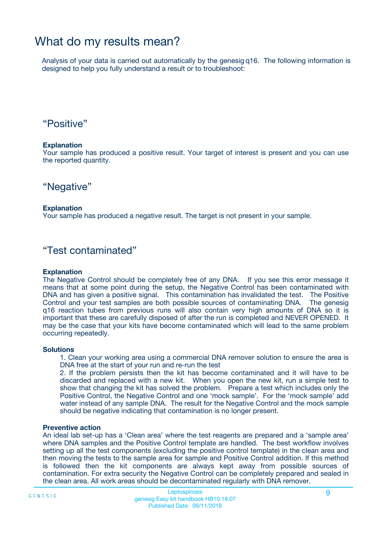## What do my results mean?

Analysis of your data is carried out automatically by the genesig q16. The following information is designed to help you fully understand a result or to troubleshoot:

### "Positive"

#### **Explanation**

Your sample has produced a positive result. Your target of interest is present and you can use the reported quantity.

"Negative"

#### **Explanation**

Your sample has produced a negative result. The target is not present in your sample.

### "Test contaminated"

#### **Explanation**

The Negative Control should be completely free of any DNA. If you see this error message it means that at some point during the setup, the Negative Control has been contaminated with DNA and has given a positive signal. This contamination has invalidated the test. The Positive Control and your test samples are both possible sources of contaminating DNA. The genesig q16 reaction tubes from previous runs will also contain very high amounts of DNA so it is important that these are carefully disposed of after the run is completed and NEVER OPENED. It may be the case that your kits have become contaminated which will lead to the same problem occurring repeatedly.

#### **Solutions**

1. Clean your working area using a commercial DNA remover solution to ensure the area is DNA free at the start of your run and re-run the test

2. If the problem persists then the kit has become contaminated and it will have to be discarded and replaced with a new kit. When you open the new kit, run a simple test to show that changing the kit has solved the problem. Prepare a test which includes only the Positive Control, the Negative Control and one 'mock sample'. For the 'mock sample' add water instead of any sample DNA. The result for the Negative Control and the mock sample should be negative indicating that contamination is no longer present.

#### **Preventive action**

An ideal lab set-up has a 'Clean area' where the test reagents are prepared and a 'sample area' where DNA samples and the Positive Control template are handled. The best workflow involves setting up all the test components (excluding the positive control template) in the clean area and then moving the tests to the sample area for sample and Positive Control addition. If this method is followed then the kit components are always kept away from possible sources of contamination. For extra security the Negative Control can be completely prepared and sealed in the clean area. All work areas should be decontaminated regularly with DNA remover.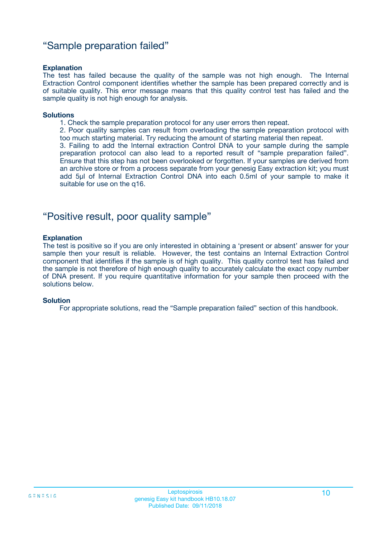### "Sample preparation failed"

#### **Explanation**

The test has failed because the quality of the sample was not high enough. The Internal Extraction Control component identifies whether the sample has been prepared correctly and is of suitable quality. This error message means that this quality control test has failed and the sample quality is not high enough for analysis.

#### **Solutions**

- 1. Check the sample preparation protocol for any user errors then repeat.
- 2. Poor quality samples can result from overloading the sample preparation protocol with too much starting material. Try reducing the amount of starting material then repeat.

3. Failing to add the Internal extraction Control DNA to your sample during the sample preparation protocol can also lead to a reported result of "sample preparation failed". Ensure that this step has not been overlooked or forgotten. If your samples are derived from an archive store or from a process separate from your genesig Easy extraction kit; you must add 5µl of Internal Extraction Control DNA into each 0.5ml of your sample to make it suitable for use on the q16.

### "Positive result, poor quality sample"

#### **Explanation**

The test is positive so if you are only interested in obtaining a 'present or absent' answer for your sample then your result is reliable. However, the test contains an Internal Extraction Control component that identifies if the sample is of high quality. This quality control test has failed and the sample is not therefore of high enough quality to accurately calculate the exact copy number of DNA present. If you require quantitative information for your sample then proceed with the solutions below.

#### **Solution**

For appropriate solutions, read the "Sample preparation failed" section of this handbook.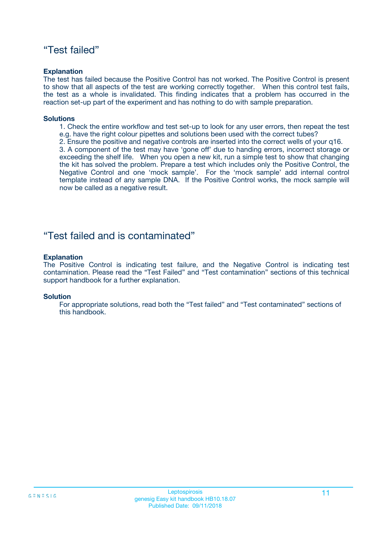### "Test failed"

#### **Explanation**

The test has failed because the Positive Control has not worked. The Positive Control is present to show that all aspects of the test are working correctly together. When this control test fails, the test as a whole is invalidated. This finding indicates that a problem has occurred in the reaction set-up part of the experiment and has nothing to do with sample preparation.

#### **Solutions**

- 1. Check the entire workflow and test set-up to look for any user errors, then repeat the test e.g. have the right colour pipettes and solutions been used with the correct tubes?
- 2. Ensure the positive and negative controls are inserted into the correct wells of your q16.

3. A component of the test may have 'gone off' due to handing errors, incorrect storage or exceeding the shelf life. When you open a new kit, run a simple test to show that changing the kit has solved the problem. Prepare a test which includes only the Positive Control, the Negative Control and one 'mock sample'. For the 'mock sample' add internal control template instead of any sample DNA. If the Positive Control works, the mock sample will now be called as a negative result.

### "Test failed and is contaminated"

#### **Explanation**

The Positive Control is indicating test failure, and the Negative Control is indicating test contamination. Please read the "Test Failed" and "Test contamination" sections of this technical support handbook for a further explanation.

#### **Solution**

For appropriate solutions, read both the "Test failed" and "Test contaminated" sections of this handbook.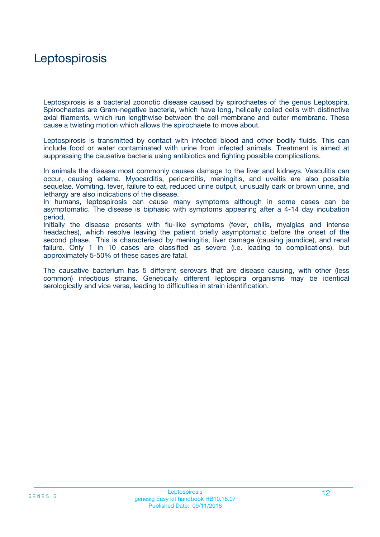## **Leptospirosis**

Leptospirosis is a bacterial zoonotic disease caused by spirochaetes of the genus Leptospira. Spirochaetes are Gram-negative bacteria, which have long, helically coiled cells with distinctive axial filaments, which run lengthwise between the cell membrane and outer membrane. These cause a twisting motion which allows the spirochaete to move about.

Leptospirosis is transmitted by contact with infected blood and other bodily fluids. This can include food or water contaminated with urine from infected animals. Treatment is aimed at suppressing the causative bacteria using antibiotics and fighting possible complications.

In animals the disease most commonly causes damage to the liver and kidneys. Vasculitis can occur, causing edema. Myocarditis, pericarditis, meningitis, and uveitis are also possible sequelae. Vomiting, fever, failure to eat, reduced urine output, unusually dark or brown urine, and lethargy are also indications of the disease.

In humans, leptospirosis can cause many symptoms although in some cases can be asymptomatic. The disease is biphasic with symptoms appearing after a 4-14 day incubation period.

Initially the disease presents with flu-like symptoms (fever, chills, myalgias and intense headaches), which resolve leaving the patient briefly asymptomatic before the onset of the second phase. This is characterised by meningitis, liver damage (causing jaundice), and renal failure. Only 1 in 10 cases are classified as severe (i.e. leading to complications), but approximately 5-50% of these cases are fatal.

The causative bacterium has 5 different serovars that are disease causing, with other (less common) infectious strains. Genetically different leptospira organisms may be identical serologically and vice versa, leading to difficulties in strain identification.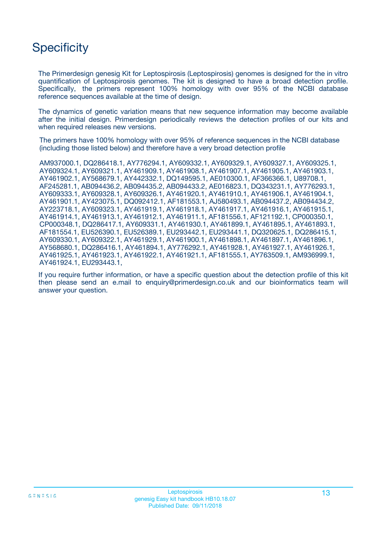# **Specificity**

The Primerdesign genesig Kit for Leptospirosis (Leptospirosis) genomes is designed for the in vitro quantification of Leptospirosis genomes. The kit is designed to have a broad detection profile. Specifically, the primers represent 100% homology with over 95% of the NCBI database reference sequences available at the time of design.

The dynamics of genetic variation means that new sequence information may become available after the initial design. Primerdesign periodically reviews the detection profiles of our kits and when required releases new versions.

The primers have 100% homology with over 95% of reference sequences in the NCBI database (including those listed below) and therefore have a very broad detection profile

AM937000.1, DQ286418.1, AY776294.1, AY609332.1, AY609329.1, AY609327.1, AY609325.1, AY609324.1, AY609321.1, AY461909.1, AY461908.1, AY461907.1, AY461905.1, AY461903.1, AY461902.1, AY568679.1, AY442332.1, DQ149595.1, AE010300.1, AF366366.1, U89708.1, AF245281.1, AB094436.2, AB094435.2, AB094433.2, AE016823.1, DQ343231.1, AY776293.1, AY609333.1, AY609328.1, AY609326.1, AY461920.1, AY461910.1, AY461906.1, AY461904.1, AY461901.1, AY423075.1, DQ092412.1, AF181553.1, AJ580493.1, AB094437.2, AB094434.2, AY223718.1, AY609323.1, AY461919.1, AY461918.1, AY461917.1, AY461916.1, AY461915.1, AY461914.1, AY461913.1, AY461912.1, AY461911.1, AF181556.1, AF121192.1, CP000350.1, CP000348.1, DQ286417.1, AY609331.1, AY461930.1, AY461899.1, AY461895.1, AY461893.1, AF181554.1, EU526390.1, EU526389.1, EU293442.1, EU293441.1, DQ320625.1, DQ286415.1, AY609330.1, AY609322.1, AY461929.1, AY461900.1, AY461898.1, AY461897.1, AY461896.1, AY568680.1, DQ286416.1, AY461894.1, AY776292.1, AY461928.1, AY461927.1, AY461926.1, AY461925.1, AY461923.1, AY461922.1, AY461921.1, AF181555.1, AY763509.1, AM936999.1, AY461924.1, EU293443.1,

If you require further information, or have a specific question about the detection profile of this kit then please send an e.mail to enquiry@primerdesign.co.uk and our bioinformatics team will answer your question.